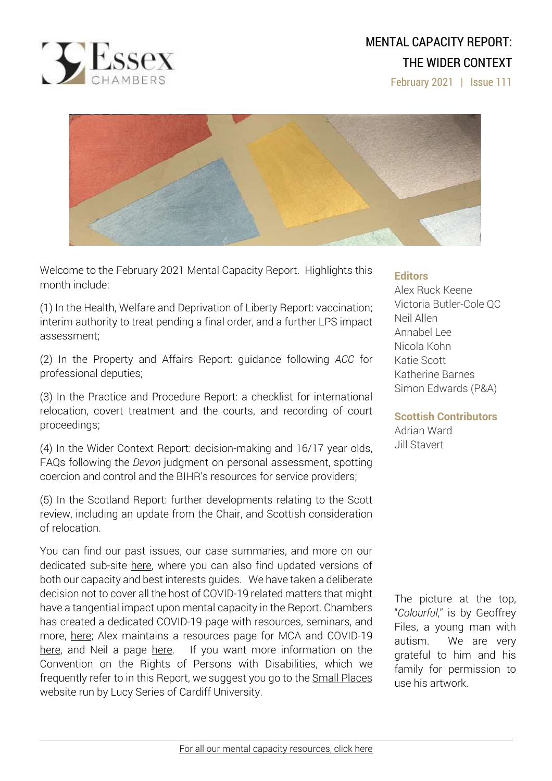

# MENTAL CAPACITY REPORT: THE WIDER CONTEXT

February 2021 | Issue 111



Welcome to the February 2021 Mental Capacity Report. Highlights this month include:

(1) In the Health, Welfare and Deprivation of Liberty Report: vaccination; interim authority to treat pending a final order, and a further LPS impact assessment;

(2) In the Property and Affairs Report: guidance following *ACC* for professional deputies;

(3) In the Practice and Procedure Report: a checklist for international relocation, covert treatment and the courts, and recording of court proceedings;

(4) In the Wider Context Report: decision-making and 16/17 year olds, FAQs following the *Devon* judgment on personal assessment, spotting coercion and control and the BIHR's resources for service providers;

(5) In the Scotland Report: further developments relating to the Scott review, including an update from the Chair, and Scottish consideration of relocation.

You can find our past issues, our case summaries, and more on our dedicated sub-site [here,](http://www.39essex.com/resources-and-training/mental-capacity-law/) where you can also find updated versions of both our capacity and best interests guides. We have taken a deliberate decision not to cover all the host of COVID-19 related matters that might have a tangential impact upon mental capacity in the Report. Chambers has created a dedicated COVID-19 page with resources, seminars, and more, [here;](https://www.39essex.com/covid-19/) Alex maintains a resources page for MCA and COVID-19 [here,](https://www.mentalcapacitylawandpolicy.org.uk/resources-2/covid-19-and-the-mca-2005/) and Neil a page [here.](https://lpslaw.co.uk/Covid/) If you want more information on the Convention on the Rights of Persons with Disabilities, which we frequently refer to in this Report, we suggest you go to the **Small [Places](https://thesmallplaces.wordpress.com/resources-on-legal-capacity-and-the-united-nations-convention-on-the-rights-of-persons-with-disabilities/new-to-the-un-convention-on-the-rights-of-persons-with-disabilities/)** website run by Lucy Series of Cardiff University.

### **Editors**

Alex Ruck Keene Victoria Butler-Cole QC Neil Allen Annabel Lee Nicola Kohn Katie Scott Katherine Barnes Simon Edwards (P&A)

**Scottish Contributors** Adrian Ward Jill Stavert

The picture at the top, "*Colourful*," is by Geoffrey Files, a young man with autism. We are very grateful to him and his family for permission to use his artwork.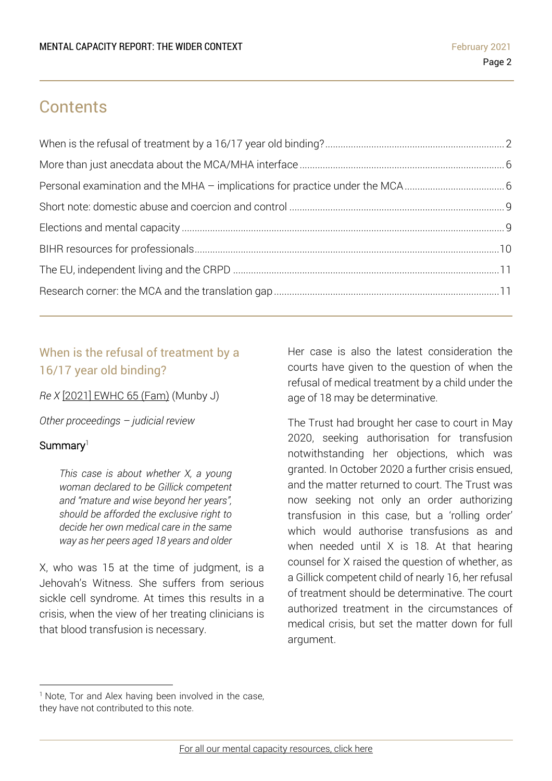# **Contents**

# <span id="page-1-0"></span>When is the refusal of treatment by a 16/17 year old binding?

*Re X* [2021] [EWHC](https://www.bailii.org/ew/cases/EWHC/Fam/2021/65.html) 65 (Fam) (Munby J)

*Other proceedings – judicial review*

### Summary<sup>1</sup>

*This case is about whether X, a young woman declared to be Gillick competent and "mature and wise beyond her years", should be afforded the exclusive right to decide her own medical care in the same way as her peers aged 18 years and older*

X, who was 15 at the time of judgment, is a Jehovah's Witness. She suffers from serious sickle cell syndrome. At times this results in a crisis, when the view of her treating clinicians is that blood transfusion is necessary.

Her case is also the latest consideration the courts have given to the question of when the refusal of medical treatment by a child under the age of 18 may be determinative.

The Trust had brought her case to court in May 2020, seeking authorisation for transfusion notwithstanding her objections, which was granted. In October 2020 a further crisis ensued, and the matter returned to court. The Trust was now seeking not only an order authorizing transfusion in this case, but a 'rolling order' which would authorise transfusions as and when needed until X is 18. At that hearing counsel for X raised the question of whether, as a Gillick competent child of nearly 16, her refusal of treatment should be determinative. The court authorized treatment in the circumstances of medical crisis, but set the matter down for full argument.

<sup>&</sup>lt;sup>1</sup> Note, Tor and Alex having been involved in the case, they have not contributed to this note.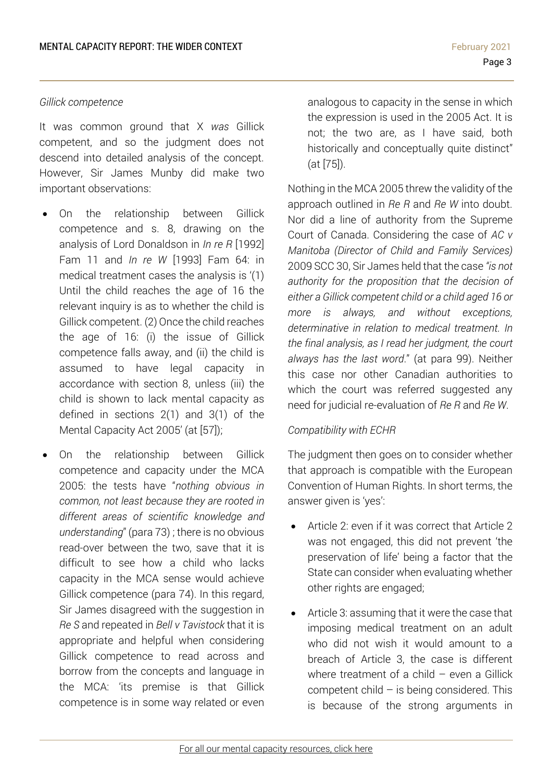### *Gillick competence*

It was common ground that X *was* Gillick competent, and so the judgment does not descend into detailed analysis of the concept. However, Sir James Munby did make two important observations:

- On the relationship between Gillick competence and s. 8, drawing on the analysis of Lord Donaldson in *In re R* [1992] Fam 11 and *In re W* [1993] Fam 64: in medical treatment cases the analysis is '(1) Until the child reaches the age of 16 the relevant inquiry is as to whether the child is Gillick competent. (2) Once the child reaches the age of 16: (i) the issue of Gillick competence falls away, and (ii) the child is assumed to have legal capacity in accordance with section 8, unless (iii) the child is shown to lack mental capacity as defined in sections 2(1) and 3(1) of the Mental Capacity Act 2005' (at [57]);
- On the relationship between Gillick competence and capacity under the MCA 2005: the tests have "*nothing obvious in common, not least because they are rooted in different areas of scientific knowledge and understanding*" (para 73) ; there is no obvious read-over between the two, save that it is difficult to see how a child who lacks capacity in the MCA sense would achieve Gillick competence (para 74). In this regard, Sir James disagreed with the suggestion in *Re S* and repeated in *Bell v Tavistock* that it is appropriate and helpful when considering Gillick competence to read across and borrow from the concepts and language in the MCA: 'its premise is that Gillick competence is in some way related or even

analogous to capacity in the sense in which the expression is used in the 2005 Act. It is not; the two are, as I have said, both historically and conceptually quite distinct" (at [75]).

Nothing in the MCA 2005 threw the validity of the approach outlined in *Re R* and *Re W* into doubt. Nor did a line of authority from the Supreme Court of Canada. Considering the case of *AC v Manitoba (Director of Child and Family Services)* 2009 SCC 30, Sir James held that the case *"is not authority for the proposition that the decision of either a Gillick competent child or a child aged 16 or more is always, and without exceptions, determinative in relation to medical treatment. In the final analysis, as I read her judgment, the court always has the last word*." (at para 99). Neither this case nor other Canadian authorities to which the court was referred suggested any need for judicial re-evaluation of *Re R* and *Re W*.

### *Compatibility with ECHR*

The judgment then goes on to consider whether that approach is compatible with the European Convention of Human Rights. In short terms, the answer given is 'yes':

- Article 2: even if it was correct that Article 2 was not engaged, this did not prevent 'the preservation of life' being a factor that the State can consider when evaluating whether other rights are engaged;
- Article 3: assuming that it were the case that imposing medical treatment on an adult who did not wish it would amount to a breach of Article 3, the case is different where treatment of a child  $-$  even a Gillick competent child  $-$  is being considered. This is because of the strong arguments in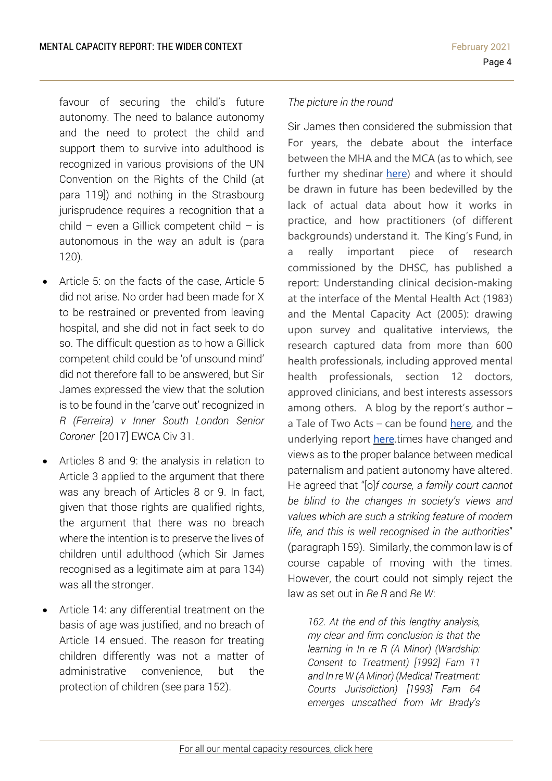favour of securing the child's future autonomy. The need to balance autonomy and the need to protect the child and support them to survive into adulthood is recognized in various provisions of the UN Convention on the Rights of the Child (at para 119]) and nothing in the Strasbourg jurisprudence requires a recognition that a child – even a Gillick competent child – is autonomous in the way an adult is (para 120).

- Article 5: on the facts of the case, Article 5 did not arise. No order had been made for X to be restrained or prevented from leaving hospital, and she did not in fact seek to do so. The difficult question as to how a Gillick competent child could be 'of unsound mind' did not therefore fall to be answered, but Sir James expressed the view that the solution is to be found in the 'carve out' recognized in *R (Ferreira) v Inner South London Senior Coroner* [2017] EWCA Civ 31.
- Articles 8 and 9: the analysis in relation to Article 3 applied to the argument that there was any breach of Articles 8 or 9. In fact, given that those rights are qualified rights, the argument that there was no breach where the intention is to preserve the lives of children until adulthood (which Sir James recognised as a legitimate aim at para 134) was all the stronger.
- Article 14: any differential treatment on the basis of age was justified, and no breach of Article 14 ensued. The reason for treating children differently was not a matter of administrative convenience, but the protection of children (see para 152).

## *The picture in the round*

Sir James then considered the submission that For years, the debate about the interface between the MHA and the MCA (as to which, see further my shedinar [here\)](https://www.mentalcapacitylawandpolicy.org.uk/shedinar-the-dread-mha-mca-interface/) and where it should be drawn in future has been bedevilled by the lack of actual data about how it works in practice, and how practitioners (of different backgrounds) understand it. The King's Fund, in a really important piece of research commissioned by the DHSC, has published a report: Understanding clinical decision-making at the interface of the Mental Health Act (1983) and the Mental Capacity Act (2005): drawing upon survey and qualitative interviews, the research captured data from more than 600 health professionals, including approved mental health professionals, section 12 doctors, approved clinicians, and best interests assessors among others. A blog by the report's author – a Tale of Two Acts – can be found [here,](https://www.kingsfund.org.uk/blog/2021/02/tale-two-acts-mental-health-act-and-mental-capacity-act) and the underlying report [here.](https://www.york.ac.uk/media/healthsciences/images/research/prepare/reportsandtheircoverimages/Understanding%20the%20MHA%20&%20MCA%20interface.pdf)times have changed and views as to the proper balance between medical paternalism and patient autonomy have altered. He agreed that "[o]*f course, a family court cannot be blind to the changes in society's views and values which are such a striking feature of modern life, and this is well recognised in the authorities*" (paragraph 159). Similarly, the common law is of course capable of moving with the times. However, the court could not simply reject the law as set out in *Re R* and *Re W*:

*162. At the end of this lengthy analysis, my clear and firm conclusion is that the learning in In re R (A Minor) (Wardship: Consent to Treatment) [1992] Fam 11 and In re W (A Minor) (Medical Treatment: Courts Jurisdiction) [1993] Fam 64 emerges unscathed from Mr Brady's*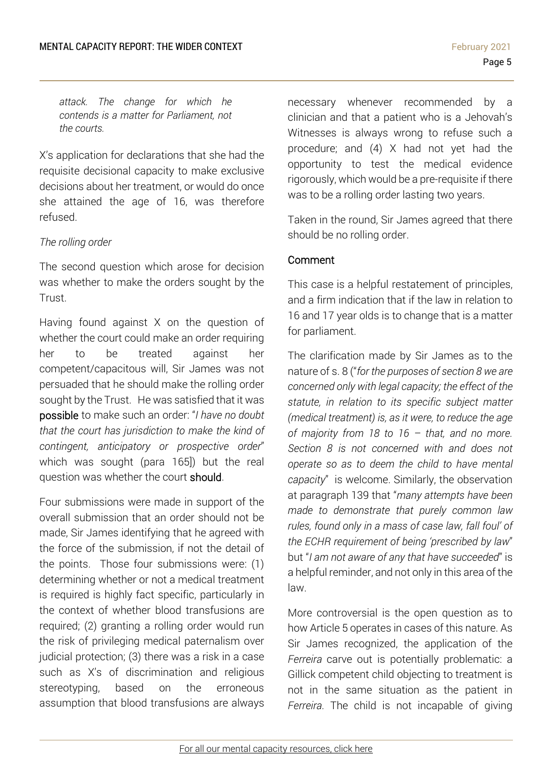*attack. The change for which he contends is a matter for Parliament, not the courts.*

X's application for declarations that she had the requisite decisional capacity to make exclusive decisions about her treatment, or would do once she attained the age of 16, was therefore refused.

### *The rolling order*

The second question which arose for decision was whether to make the orders sought by the Trust.

Having found against X on the question of whether the court could make an order requiring her to be treated against her competent/capacitous will, Sir James was not persuaded that he should make the rolling order sought by the Trust. He was satisfied that it was possible to make such an order: "*I have no doubt that the court has jurisdiction to make the kind of contingent, anticipatory or prospective order*" which was sought (para 165]) but the real question was whether the court should.

Four submissions were made in support of the overall submission that an order should not be made, Sir James identifying that he agreed with the force of the submission, if not the detail of the points. Those four submissions were: (1) determining whether or not a medical treatment is required is highly fact specific, particularly in the context of whether blood transfusions are required; (2) granting a rolling order would run the risk of privileging medical paternalism over judicial protection; (3) there was a risk in a case such as X's of discrimination and religious stereotyping, based on the erroneous assumption that blood transfusions are always

necessary whenever recommended by a clinician and that a patient who is a Jehovah's Witnesses is always wrong to refuse such a procedure; and (4) X had not yet had the opportunity to test the medical evidence rigorously, which would be a pre-requisite if there was to be a rolling order lasting two years.

Taken in the round, Sir James agreed that there should be no rolling order.

### Comment

This case is a helpful restatement of principles, and a firm indication that if the law in relation to 16 and 17 year olds is to change that is a matter for parliament.

The clarification made by Sir James as to the nature of s. 8 ("*for the purposes of section 8 we are concerned only with legal capacity; the effect of the statute, in relation to its specific subject matter (medical treatment) is, as it were, to reduce the age of majority from 18 to 16 – that, and no more. Section 8 is not concerned with and does not operate so as to deem the child to have mental capacity*" is welcome. Similarly, the observation at paragraph 139 that "*many attempts have been made to demonstrate that purely common law rules, found only in a mass of case law, fall foul' of the ECHR requirement of being 'prescribed by law*" but "*I am not aware of any that have succeeded*" is a helpful reminder, and not only in this area of the law.

More controversial is the open question as to how Article 5 operates in cases of this nature. As Sir James recognized, the application of the *Ferreira* carve out is potentially problematic: a Gillick competent child objecting to treatment is not in the same situation as the patient in *Ferreira.* The child is not incapable of giving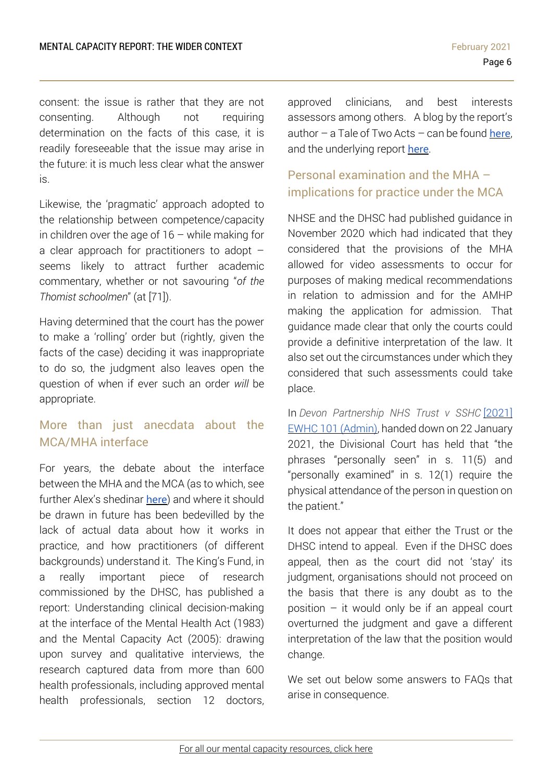consent: the issue is rather that they are not consenting. Although not requiring determination on the facts of this case, it is readily foreseeable that the issue may arise in the future: it is much less clear what the answer is.

Likewise, the 'pragmatic' approach adopted to the relationship between competence/capacity in children over the age of  $16 -$  while making for a clear approach for practitioners to adopt – seems likely to attract further academic commentary, whether or not savouring "*of the Thomist schoolmen*" (at [71]).

Having determined that the court has the power to make a 'rolling' order but (rightly, given the facts of the case) deciding it was inappropriate to do so, the judgment also leaves open the question of when if ever such an order *will* be appropriate.

# <span id="page-5-0"></span>More than just anecdata about the MCA/MHA interface

For years, the debate about the interface between the MHA and the MCA (as to which, see further Alex's shedinar [here](https://www.mentalcapacitylawandpolicy.org.uk/shedinar-the-dread-mha-mca-interface/)) and where it should be drawn in future has been bedevilled by the lack of actual data about how it works in practice, and how practitioners (of different backgrounds) understand it. The King's Fund, in a really important piece of research commissioned by the DHSC, has published a report: Understanding clinical decision-making at the interface of the Mental Health Act (1983) and the Mental Capacity Act (2005): drawing upon survey and qualitative interviews, the research captured data from more than 600 health professionals, including approved mental health professionals, section 12 doctors, approved clinicians, and best interests assessors among others. A blog by the report's author  $-$  a Tale of Two Acts  $-$  can be found [here](https://www.kingsfund.org.uk/blog/2021/02/tale-two-acts-mental-health-act-and-mental-capacity-act), and the underlying report [here](https://www.york.ac.uk/media/healthsciences/images/research/prepare/reportsandtheircoverimages/Understanding%20the%20MHA%20&%20MCA%20interface.pdf).

# <span id="page-5-1"></span>Personal examination and the MHA – implications for practice under the MCA

NHSE and the DHSC had published guidance in November 2020 which had indicated that they considered that the provisions of the MHA allowed for video assessments to occur for purposes of making medical recommendations in relation to admission and for the AMHP making the application for admission. That guidance made clear that only the courts could provide a definitive interpretation of the law. It also set out the circumstances under which they considered that such assessments could take place.

In *Devon Partnership NHS Trust v SSHC* [\[2021\]](https://www.mentalcapacitylawandpolicy.org.uk/wp-content/uploads/2021/01/Devon-Final-Judgment-002.pdf) EWHC 101 [\(Admin\),](https://www.mentalcapacitylawandpolicy.org.uk/wp-content/uploads/2021/01/Devon-Final-Judgment-002.pdf) handed down on 22 January 2021, the Divisional Court has held that "the phrases "personally seen" in s. 11(5) and "personally examined" in s. 12(1) require the physical attendance of the person in question on the patient."

It does not appear that either the Trust or the DHSC intend to appeal. Even if the DHSC does appeal, then as the court did not 'stay' its judgment, organisations should not proceed on the basis that there is any doubt as to the position  $-$  it would only be if an appeal court overturned the judgment and gave a different interpretation of the law that the position would change.

We set out below some answers to FAQs that arise in consequence.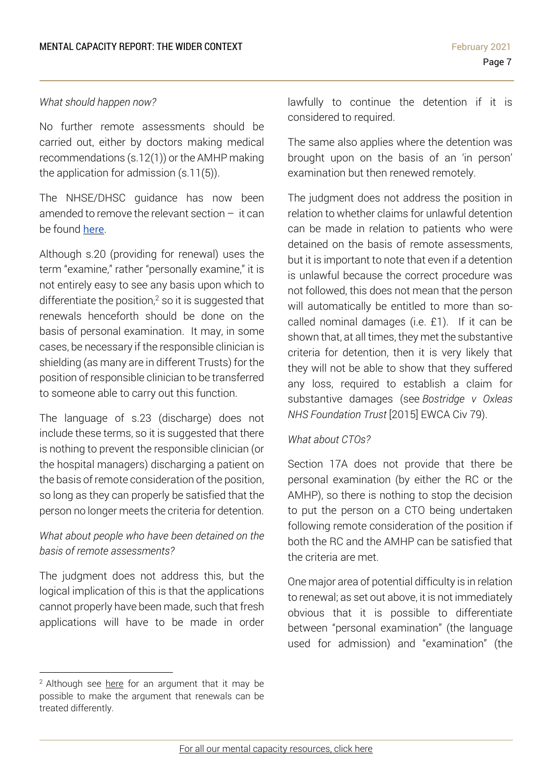### *What should happen now?*

No further remote assessments should be carried out, either by doctors making medical recommendations (s.12(1)) or the AMHP making the application for admission (s.11(5)).

The NHSE/DHSC guidance has now been amended to remove the relevant section – it can be found [here](https://www.england.nhs.uk/coronavirus/wp-content/uploads/sites/52/2020/03/C1075-legal-guidance-for-mh-ld-autism-specialised-commissioning-services-v4-25-jan-21.pdf).

Although s.20 (providing for renewal) uses the term "examine," rather "personally examine," it is not entirely easy to see any basis upon which to differentiate the position, $2$  so it is suggested that renewals henceforth should be done on the basis of personal examination. It may, in some cases, be necessary if the responsible clinician is shielding (as many are in different Trusts) for the position of responsible clinician to be transferred to someone able to carry out this function.

The language of s.23 (discharge) does not include these terms, so it is suggested that there is nothing to prevent the responsible clinician (or the hospital managers) discharging a patient on the basis of remote consideration of the position, so long as they can properly be satisfied that the person no longer meets the criteria for detention.

## *What about people who have been detained on the basis of remote assessments?*

The judgment does not address this, but the logical implication of this is that the applications cannot properly have been made, such that fresh applications will have to be made in order

lawfully to continue the detention if it is considered to required.

The same also applies where the detention was brought upon on the basis of an 'in person' examination but then renewed remotely.

The judgment does not address the position in relation to whether claims for unlawful detention can be made in relation to patients who were detained on the basis of remote assessments, but it is important to note that even if a detention is unlawful because the correct procedure was not followed, this does not mean that the person will automatically be entitled to more than socalled nominal damages (i.e. £1). If it can be shown that, at all times, they met the substantive criteria for detention, then it is very likely that they will not be able to show that they suffered any loss, required to establish a claim for substantive damages (see *[Bostridge](https://www.39essex.com/cop_cases/bostridge-v-oxleas-nhs-foundation-trust/) v Oxleas NHS [Foundation](https://www.39essex.com/cop_cases/bostridge-v-oxleas-nhs-foundation-trust/) Trust* [2015] EWCA Civ 79).

### *What about CTOs?*

Section 17A does not provide that there be personal examination (by either the RC or the AMHP), so there is nothing to stop the decision to put the person on a CTO being undertaken following remote consideration of the position if both the RC and the AMHP can be satisfied that the criteria are met.

One major area of potential difficulty is in relation to renewal; as set out above, it is not immediately obvious that it is possible to differentiate between "personal examination" (the language used for admission) and "examination" (the

 $2$  Although see [here](https://www.localgovernmentlawyer.co.uk/healthcare-law/174-healthcare-features/46078-community-treatment-orders-does-seeing-patients-remotely-suffice) for an argument that it may be possible to make the argument that renewals can be treated differently.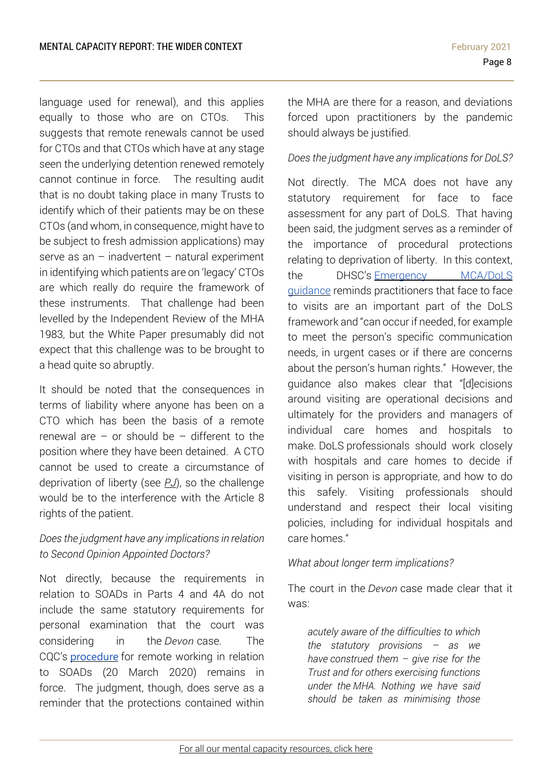language used for renewal), and this applies equally to those who are on CTOs. This suggests that remote renewals cannot be used for CTOs and that CTOs which have at any stage seen the underlying detention renewed remotely cannot continue in force. The resulting audit that is no doubt taking place in many Trusts to identify which of their patients may be on these CTOs (and whom, in consequence, might have to be subject to fresh admission applications) may serve as an  $-$  inadvertent  $-$  natural experiment in identifying which patients are on 'legacy' CTOs are which really do require the framework of these instruments. That challenge had been levelled by the Independent Review of the MHA 1983, but the White Paper presumably did not expect that this challenge was to be brought to a head quite so abruptly.

It should be noted that the consequences in terms of liability where anyone has been on a CTO which has been the basis of a remote renewal are  $-$  or should be  $-$  different to the position where they have been detained. A CTO cannot be used to create a circumstance of deprivation of liberty (see *[PJ](https://www.39essex.com/cop_cases/welsh-ministers-v-pj-2/)*), so the challenge would be to the interference with the Article 8 rights of the patient.

## *Does the judgment have any implications in relation to Second Opinion Appointed Doctors?*

Not directly, because the requirements in relation to SOADs in Parts 4 and 4A do not include the same statutory requirements for personal examination that the court was considering in the *Devon* case. The CQC's [procedure](https://www.cqc.org.uk/sites/default/files/20200320_SOAD-COVID19-letter.pdf) for remote working in relation to SOADs (20 March 2020) remains in force. The judgment, though, does serve as a reminder that the protections contained within

the MHA are there for a reason, and deviations forced upon practitioners by the pandemic should always be justified.

## *Does the judgment have any implications for DoLS?*

Not directly. The MCA does not have any statutory requirement for face to face assessment for any part of DoLS. That having been said, the judgment serves as a reminder of the importance of procedural protections relating to deprivation of liberty. In this context, the DHSC's [Emergency](https://www.gov.uk/government/publications/coronavirus-covid-19-looking-after-people-who-lack-mental-capacity/the-mental-capacity-act-2005-mca-and-deprivation-of-liberty-safeguards-dols-during-the-coronavirus-covid-19-pandemic) MCA/DoLS [guidance](https://www.gov.uk/government/publications/coronavirus-covid-19-looking-after-people-who-lack-mental-capacity/the-mental-capacity-act-2005-mca-and-deprivation-of-liberty-safeguards-dols-during-the-coronavirus-covid-19-pandemic) reminds practitioners that face to face to visits are an important part of the DoLS framework and "can occur if needed, for example to meet the person's specific communication needs, in urgent cases or if there are concerns about the person's human rights." However, the guidance also makes clear that "[d]ecisions around visiting are operational decisions and ultimately for the providers and managers of individual care homes and hospitals to make. DoLS professionals should work closely with hospitals and care homes to decide if visiting in person is appropriate, and how to do this safely. Visiting professionals should understand and respect their local visiting policies, including for individual hospitals and care homes."

### *What about longer term implications?*

The court in the *Devon* case made clear that it was:

*acutely aware of the difficulties to which the statutory provisions – as we have construed them – give rise for the Trust and for others exercising functions under the MHA. Nothing we have said should be taken as minimising those*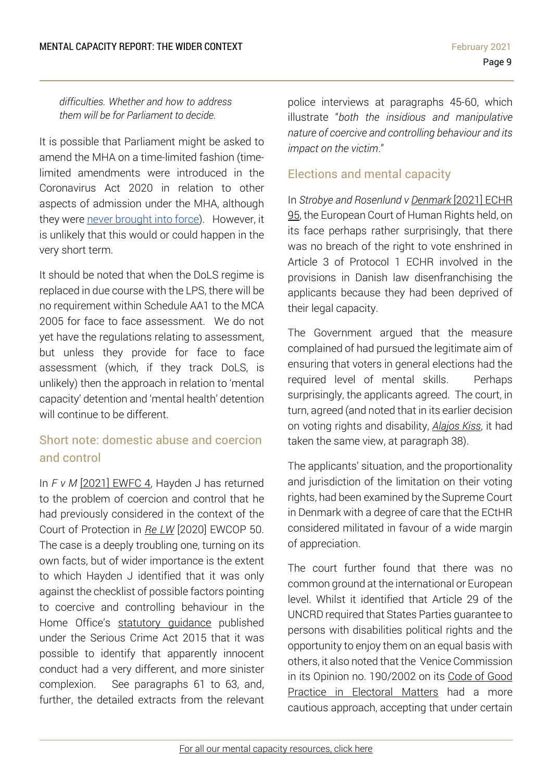*difficulties. Whether and how to address them will be for Parliament to decide.*

It is possible that Parliament might be asked to amend the MHA on a time-limited fashion (timelimited amendments were introduced in the Coronavirus Act 2020 in relation to other aspects of admission under the MHA, although they were never [brought](https://www.legislation.gov.uk/uksi/2020/1467/made) into force). However, it is unlikely that this would or could happen in the very short term.

It should be noted that when the DoLS regime is replaced in due course with the LPS, there will be no requirement within Schedule AA1 to the MCA 2005 for face to face assessment. We do not yet have the regulations relating to assessment, but unless they provide for face to face assessment (which, if they track DoLS, is unlikely) then the approach in relation to 'mental capacity' detention and 'mental health' detention will continue to be different.

# <span id="page-8-0"></span>Short note: domestic abuse and coercion and control

In *F v M* [\[2021\]](https://www.bailii.org/ew/cases/EWFC/HCJ/2021/4.html) EWFC 4, Hayden J has returned to the problem of coercion and control that he had previously considered in the context of the Court of Protection in *Re [LW](https://www.39essex.com/cop_cases/re-lw/)* [2020] EWCOP 50. The case is a deeply troubling one, turning on its own facts, but of wider importance is the extent to which Hayden J identified that it was only against the checklist of possible factors pointing to coercive and controlling behaviour in the Home Office's statutory [guidance](https://assets.publishing.service.gov.uk/government/uploads/system/uploads/attachment_data/file/482528/Controlling_or_coercive_behaviour_-_statutory_guidance.pdf) published under the Serious Crime Act 2015 that it was possible to identify that apparently innocent conduct had a very different, and more sinister complexion. See paragraphs 61 to 63, and, further, the detailed extracts from the relevant police interviews at paragraphs 45-60, which illustrate "*both the insidious and manipulative nature of coercive and controlling behaviour and its impact on the victim*."

## <span id="page-8-1"></span>Elections and mental capacity

In *Strobye and Rosenlund v [Denmark](https://www.bailii.org/eu/cases/ECHR/2021/95.html)* [2021] ECHR [95,](https://www.bailii.org/eu/cases/ECHR/2021/95.html) the European Court of Human Rights held, on its face perhaps rather surprisingly, that there was no breach of the right to vote enshrined in Article 3 of Protocol 1 ECHR involved in the provisions in Danish law disenfranchising the applicants because they had been deprived of their legal capacity.

The Government argued that the measure complained of had pursued the legitimate aim of ensuring that voters in general elections had the required level of mental skills. Perhaps surprisingly, the applicants agreed. The court, in turn, agreed (and noted that in its earlier decision on voting rights and disability, *[Alajos](https://www.bailii.org/eu/cases/ECHR/2010/692.html) Kiss*, it had taken the same view, at paragraph 38).

The applicants' situation, and the proportionality and jurisdiction of the limitation on their voting rights, had been examined by the Supreme Court in Denmark with a degree of care that the ECtHR considered militated in favour of a wide margin of appreciation.

The court further found that there was no common ground at the international or European level. Whilst it identified that Article 29 of the UNCRD required that States Parties guarantee to persons with disabilities political rights and the opportunity to enjoy them on an equal basis with others, it also noted that the Venice Commission in its Opinion no. 190/2002 on its Code of [Good](https://www.venice.coe.int/webforms/documents/default.aspx?pdffile=CDL-AD(2002)023rev2-cor-e) Practice in [Electoral](https://www.venice.coe.int/webforms/documents/default.aspx?pdffile=CDL-AD(2002)023rev2-cor-e) Matters had a more cautious approach, accepting that under certain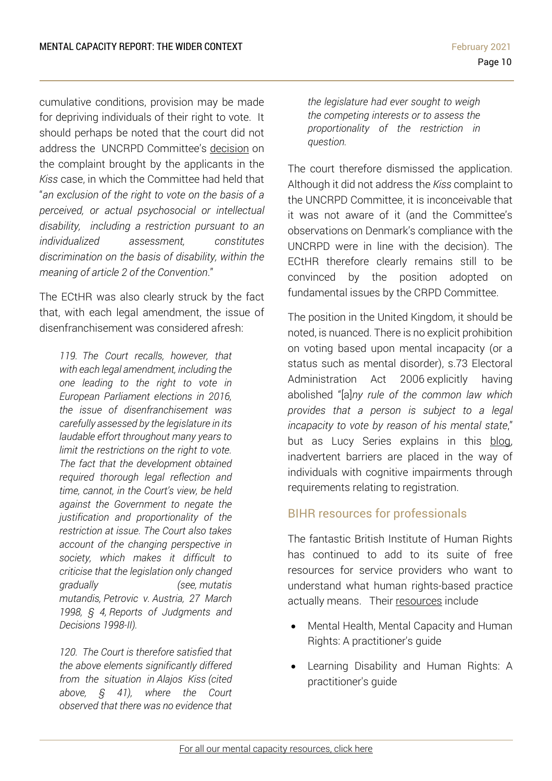cumulative conditions, provision may be made for depriving individuals of their right to vote. It should perhaps be noted that the court did not address the UNCRPD Committee's [decision](https://www.google.com/url?sa=t&rct=j&q=&esrc=s&source=web&cd=&ved=2ahUKEwj6k9vU8tzuAhWkolwKHRL6As0QFjAAegQIAhAC&url=https%3A%2F%2Fwww.ohchr.org%2FDocuments%2FHRBodies%2FCRPD%2FJurisprudence%2FCRPD-C-10-D-4-2011_en.doc&usg=AOvVaw2ly3L_DMZP4KKm_fYzziA0) on the complaint brought by the applicants in the *Kiss* case, in which the Committee had held that "*an exclusion of the right to vote on the basis of a perceived, or actual psychosocial or intellectual disability, including a restriction pursuant to an individualized assessment, constitutes discrimination on the basis of disability, within the meaning of article 2 of the Convention*."

The ECtHR was also clearly struck by the fact that, with each legal amendment, the issue of disenfranchisement was considered afresh:

*119. The Court recalls, however, that with each legal amendment, including the one leading to the right to vote in European Parliament elections in 2016, the issue of disenfranchisement was carefully assessed by the legislature in its laudable effort throughout many years to limit the restrictions on the right to vote. The fact that the development obtained required thorough legal reflection and time, cannot, in the Court's view, be held against the Government to negate the justification and proportionality of the restriction at issue. The Court also takes account of the changing perspective in society, which makes it difficult to criticise that the legislation only changed gradually (see, mutatis mutandis, Petrovic v. Austria, 27 March 1998, § 4, Reports of Judgments and Decisions 1998-II).*

*120. The Court is therefore satisfied that the above elements significantly differed from the situation in Alajos Kiss (cited above, § 41), where the Court observed that there was no evidence that* 

*the legislature had ever sought to weigh the competing interests or to assess the proportionality of the restriction in question.*

The court therefore dismissed the application. Although it did not address the *Kiss* complaint to the UNCRPD Committee, it is inconceivable that it was not aware of it (and the Committee's observations on Denmark's compliance with the UNCRPD were in line with the decision). The ECtHR therefore clearly remains still to be convinced by the position adopted on fundamental issues by the CRPD Committee.

The position in the United Kingdom, it should be noted, is nuanced. There is no explicit prohibition on voting based upon mental incapacity (or a status such as mental disorder), s.73 Electoral Administration Act 2006 explicitly having abolished "[a]*ny rule of the common law which provides that a person is subject to a legal incapacity to vote by reason of his mental state*," but as Lucy Series explains in this [blog,](https://thesmallplaces.wordpress.com/2012/09/14/mental-capacity-and-voting-rights/) inadvertent barriers are placed in the way of individuals with cognitive impairments through requirements relating to registration.

# <span id="page-9-0"></span>BIHR resources for professionals

The fantastic British Institute of Human Rights has continued to add to its suite of free resources for service providers who want to understand what human rights-based practice actually means. Their [resources](https://www.bihr.org.uk/resources-for-service-providers) include

- Mental Health, Mental Capacity and Human Rights: A practitioner's guide
- Learning Disability and Human Rights: A practitioner's guide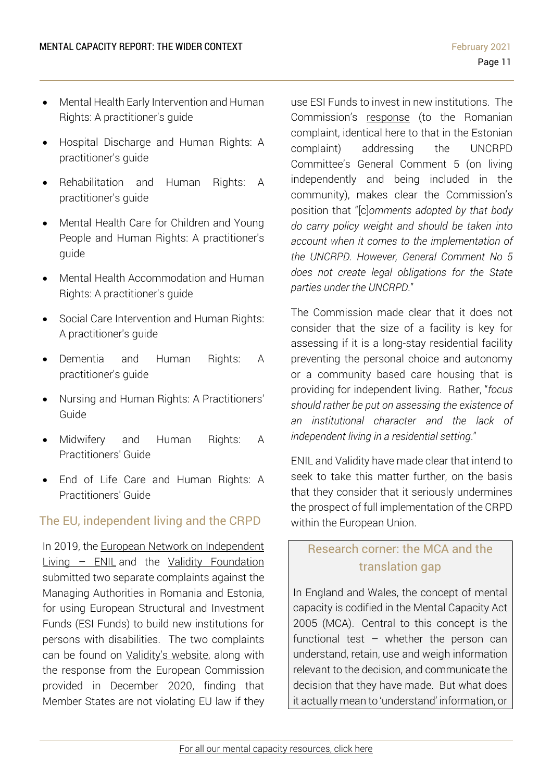- Mental Health Early Intervention and Human Rights: A practitioner's guide
- Hospital Discharge and Human Rights: A practitioner's guide
- Rehabilitation and Human Rights: A practitioner's guide
- Mental Health Care for Children and Young People and Human Rights: A practitioner's guide
- Mental Health Accommodation and Human Rights: A practitioner's guide
- Social Care Intervention and Human Rights: A practitioner's guide
- Dementia and Human Rights: A practitioner's guide
- Nursing and Human Rights: A Practitioners' Guide
- Midwifery and Human Rights: A Practitioners' Guide
- End of Life Care and Human Rights: A Practitioners' Guide

## <span id="page-10-0"></span>The EU, independent living and the CRPD

In 2019, the European Network on [Independent](http://www.enil.eu/)  $Living - ENIL$  $Living - ENIL$  and the Validity [Foundation](https://validity.ngo/2020/12/23/commission-fails-to-stop-romania-and-estonia-from-segregating-citizens-with-disabilities/) submitted two separate complaints against the Managing Authorities in Romania and Estonia, for using European Structural and Investment Funds (ESI Funds) to build new institutions for persons with disabilities. The two complaints can be found on [Validity's](https://validity.ngo/2020/12/23/commission-fails-to-stop-romania-and-estonia-from-segregating-citizens-with-disabilities/) website, along with the response from the European Commission provided in December 2020, finding that Member States are not violating EU law if they use ESI Funds to invest in new institutions. The Commission's [response](https://validity.ngo/wp-content/uploads/2020/12/CHAP20193555_Pre-closer-Letter_181120.docx.pdf) (to the Romanian complaint, identical here to that in the Estonian complaint) addressing the UNCRPD Committee's General Comment 5 (on living independently and being included in the community), makes clear the Commission's position that "[c]*omments adopted by that body do carry policy weight and should be taken into account when it comes to the implementation of the UNCRPD. However, General Comment No 5 does not create legal obligations for the State parties under the UNCRPD*."

The Commission made clear that it does not consider that the size of a facility is key for assessing if it is a long-stay residential facility preventing the personal choice and autonomy or a community based care housing that is providing for independent living. Rather, "*focus should rather be put on assessing the existence of an institutional character and the lack of independent living in a residential setting*."

ENIL and Validity have made clear that intend to seek to take this matter further, on the basis that they consider that it seriously undermines the prospect of full implementation of the CRPD within the European Union.

# <span id="page-10-1"></span>Research corner: the MCA and the translation gap

In England and Wales, the concept of mental capacity is codified in the Mental Capacity Act 2005 (MCA). Central to this concept is the functional test  $-$  whether the person can understand, retain, use and weigh information relevant to the decision, and communicate the decision that they have made. But what does it actually mean to 'understand' information, or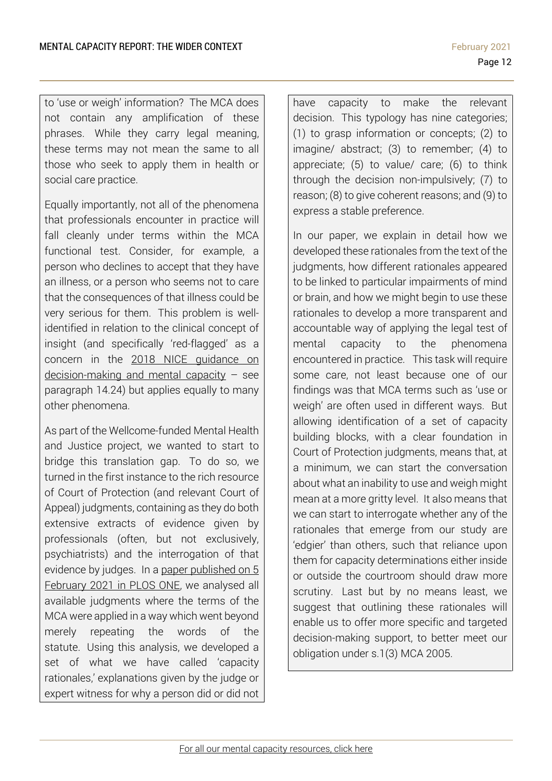to 'use or weigh' information? The MCA does not contain any amplification of these phrases. While they carry legal meaning, these terms may not mean the same to all those who seek to apply them in health or social care practice.

Equally importantly, not all of the phenomena that professionals encounter in practice will fall cleanly under terms within the MCA functional test. Consider, for example, a person who declines to accept that they have an illness, or a person who seems not to care that the consequences of that illness could be very serious for them. This problem is wellidentified in relation to the clinical concept of insight (and specifically 'red-flagged' as a concern in the 2018 NICE [guidance](https://www.nice.org.uk/guidance/ng108/resources/decisionmaking-and-mental-capacity-pdf-66141544670917) on [decision-making](https://www.nice.org.uk/guidance/ng108/resources/decisionmaking-and-mental-capacity-pdf-66141544670917) and mental capacity – see paragraph 14.24) but applies equally to many other phenomena.

As part of the Wellcome-funded Mental Health and Justice project, we wanted to start to bridge this translation gap. To do so, we turned in the first instance to the rich resource of Court of Protection (and relevant Court of Appeal) judgments, containing as they do both extensive extracts of evidence given by professionals (often, but not exclusively, psychiatrists) and the interrogation of that evidence by judges. In a paper [published](https://journals.plos.org/plosone/article?id=10.1371/journal.pone.0246521) on 5 [February](https://journals.plos.org/plosone/article?id=10.1371/journal.pone.0246521) 2021 in PLOS ONE, we analysed all available judgments where the terms of the MCA were applied in a way which went beyond merely repeating the words of the statute. Using this analysis, we developed a set of what we have called 'capacity rationales,' explanations given by the judge or expert witness for why a person did or did not have capacity to make the relevant decision. This typology has nine categories; (1) to grasp information or concepts; (2) to imagine/ abstract; (3) to remember; (4) to appreciate; (5) to value/ care; (6) to think through the decision non-impulsively; (7) to reason; (8) to give coherent reasons; and (9) to express a stable preference.

In our paper, we explain in detail how we developed these rationales from the text of the judgments, how different rationales appeared to be linked to particular impairments of mind or brain, and how we might begin to use these rationales to develop a more transparent and accountable way of applying the legal test of mental capacity to the phenomena encountered in practice. This task will require some care, not least because one of our findings was that MCA terms such as 'use or weigh' are often used in different ways. But allowing identification of a set of capacity building blocks, with a clear foundation in Court of Protection judgments, means that, at a minimum, we can start the conversation about what an inability to use and weigh might mean at a more gritty level. It also means that we can start to interrogate whether any of the rationales that emerge from our study are 'edgier' than others, such that reliance upon them for capacity determinations either inside or outside the courtroom should draw more scrutiny. Last but by no means least, we suggest that outlining these rationales will enable us to offer more specific and targeted decision-making support, to better meet our obligation under s.1(3) MCA 2005.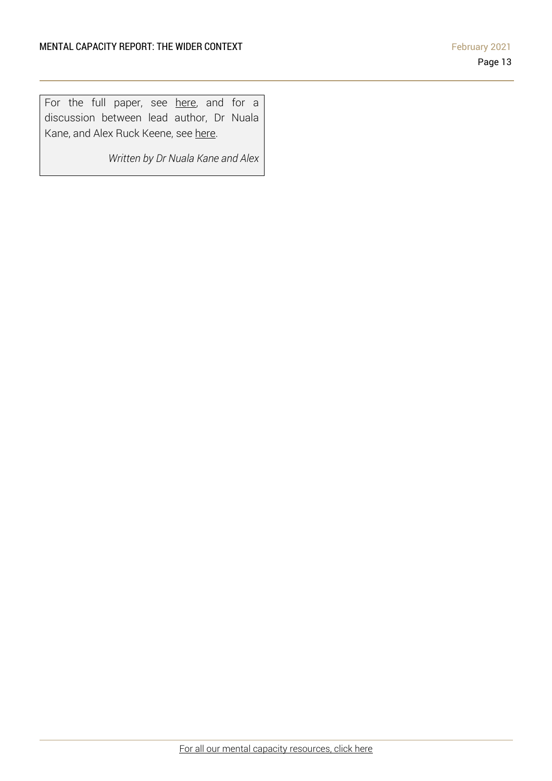For the full paper, see [here,](https://journals.plos.org/plosone/article?id=10.1371/journal.pone.0246521) and for a discussion between lead author, Dr Nuala Kane, and Alex Ruck Keene, see [here.](https://www.mentalcapacitylawandpolicy.org.uk/shedinar-in-conversation-with-dr-nuala-kane-capacity-rationales-accountability-and-support/)

*Written by Dr Nuala Kane and Alex*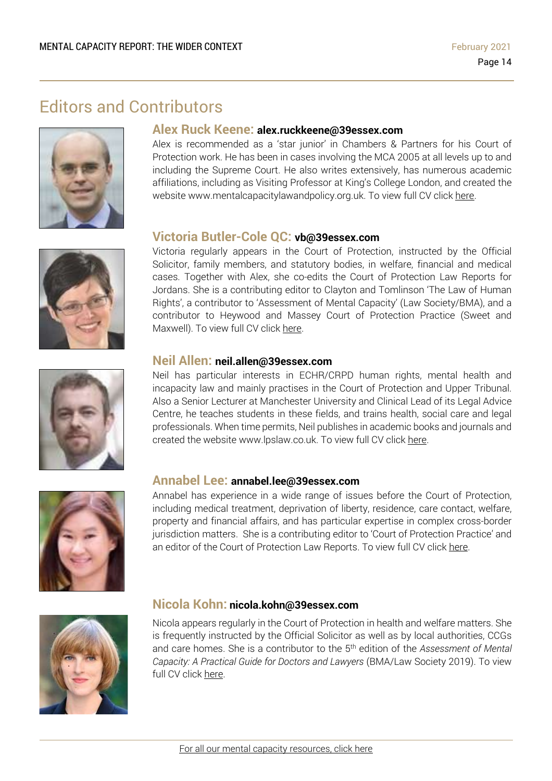# Editors and Contributors







### **Alex Ruck Keene: alex.ruckkeene@39essex.com**

Alex is recommended as a 'star junior' in Chambers & Partners for his Court of Protection work. He has been in cases involving the MCA 2005 at all levels up to and including the Supreme Court. He also writes extensively, has numerous academic affiliations, including as Visiting Professor at King's College London, and created the website www.mentalcapacitylawandpolicy.org.uk. To view full CV click [here.](http://www.39essex.com/barrister/alexander-ruck-keene/)

### **Victoria Butler-Cole QC: vb@39essex.com**

Victoria regularly appears in the Court of Protection, instructed by the Official Solicitor, family members, and statutory bodies, in welfare, financial and medical cases. Together with Alex, she co-edits the Court of Protection Law Reports for Jordans. She is a contributing editor to Clayton and Tomlinson 'The Law of Human Rights', a contributor to 'Assessment of Mental Capacity' (Law Society/BMA), and a contributor to Heywood and Massey Court of Protection Practice (Sweet and Maxwell). To view full CV click [here.](http://www.39essex.com/barrister/victoria-butler-cole/)

### **Neil Allen: neil.allen@39essex.com**

Neil has particular interests in ECHR/CRPD human rights, mental health and incapacity law and mainly practises in the Court of Protection and Upper Tribunal. Also a Senior Lecturer at Manchester University and Clinical Lead of its Legal Advice Centre, he teaches students in these fields, and trains health, social care and legal professionals. When time permits, Neil publishes in academic books and journals and created the website www.lpslaw.co.uk. To view full CV click [here.](http://www.39essex.com/barrister/neil-allen/)



### **Annabel Lee: annabel.lee@39essex.com**

Annabel has experience in a wide range of issues before the Court of Protection, including medical treatment, deprivation of liberty, residence, care contact, welfare, property and financial affairs, and has particular expertise in complex cross-border jurisdiction matters. She is a contributing editor to 'Court of Protection Practice' and an editor of the Court of Protection Law Reports. To view full CV click [here.](http://www.39essex.com/barrister/annabel-lee/)



### **Nicola Kohn: nicola.kohn@39essex.com**

Nicola appears regularly in the Court of Protection in health and welfare matters. She is frequently instructed by the Official Solicitor as well as by local authorities, CCGs and care homes. She is a contributor to the 5 th edition of the *Assessment of Mental Capacity: A Practical Guide for Doctors and Lawyers* (BMA/Law Society 2019). To view full CV click [here.](http://www.39essex.com/barrister/nicola-kohn/)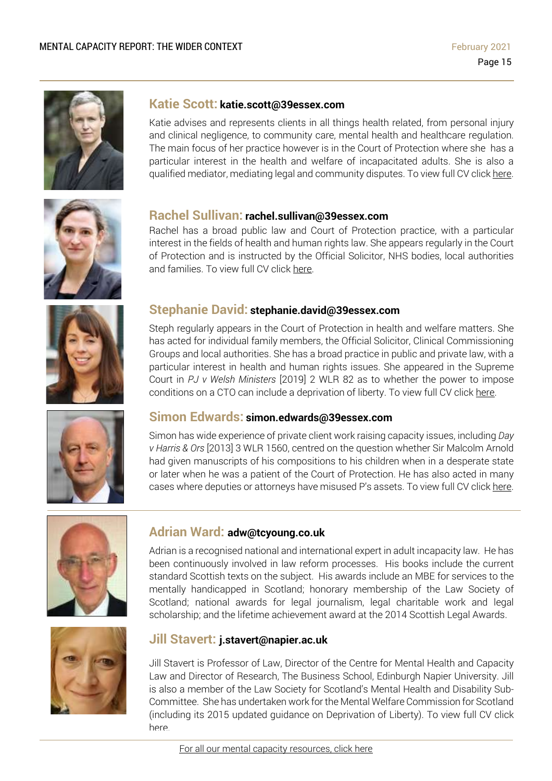

### **Katie Scott: katie.scott@39essex.com**

Katie advises and represents clients in all things health related, from personal injury and clinical negligence, to community care, mental health and healthcare regulation. The main focus of her practice however is in the Court of Protection where she has a particular interest in the health and welfare of incapacitated adults. She is also a qualified mediator, mediating legal and community disputes. To view full CV click [here.](http://www.39essex.com/barrister/katharine-scott/)



### **Rachel Sullivan: rachel.sullivan@39essex.com**

Rachel has a broad public law and Court of Protection practice, with a particular interest in the fields of health and human rights law. She appears regularly in the Court of Protection and is instructed by the Official Solicitor, NHS bodies, local authorities and families. To view full CV click [here.](https://www.39essex.com/barrister/rachel-sullivan/)



## **Stephanie David: stephanie.david@39essex.com**

Steph regularly appears in the Court of Protection in health and welfare matters. She has acted for individual family members, the Official Solicitor, Clinical Commissioning Groups and local authorities. She has a broad practice in public and private law, with a particular interest in health and human rights issues. She appeared in the Supreme Court in *PJ v Welsh Ministers* [2019] 2 WLR 82 as to whether the power to impose conditions on a CTO can include a deprivation of liberty. To view full CV click [here.](http://www.39essex.com/barrister/simon-edwards/)



### **Simon Edwards: simon.edwards@39essex.com**

Simon has wide experience of private client work raising capacity issues, including *Day v Harris & Ors* [2013] 3 WLR 1560, centred on the question whether Sir Malcolm Arnold had given manuscripts of his compositions to his children when in a desperate state or later when he was a patient of the Court of Protection. He has also acted in many cases where deputies or attorneys have misused P's assets. To view full CV click [here.](http://www.39essex.com/barrister/simon-edwards/)



### **Adrian Ward: adw@tcyoung.co.uk**

Adrian is a recognised national and international expert in adult incapacity law. He has been continuously involved in law reform processes. His books include the current standard Scottish texts on the subject. His awards include an MBE for services to the mentally handicapped in Scotland; honorary membership of the Law Society of Scotland; national awards for legal journalism, legal charitable work and legal scholarship; and the lifetime achievement award at the 2014 Scottish Legal Awards.



### **Jill Stavert: j.stavert@napier.ac.uk**

Jill Stavert is Professor of Law, Director of the Centre for Mental Health and Capacity Law and Director of Research, The Business School, Edinburgh Napier University. Jill is also a member of the Law Society for Scotland's Mental Health and Disability Sub-Committee. She has undertaken work for the Mental Welfare Commission for Scotland (including its 2015 updated guidance on Deprivation of Liberty). To view full CV click [here.](http://www.napier.ac.uk/people/jill-stavert)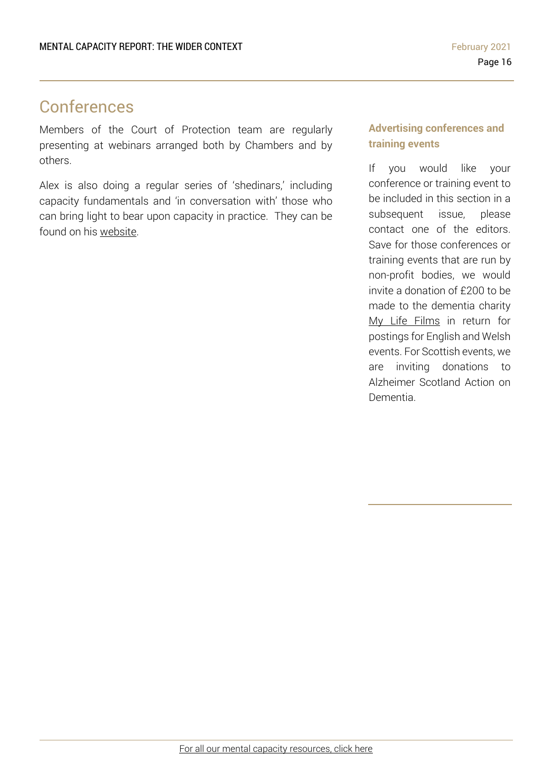# Conferences

Members of the Court of Protection team are regularly presenting at webinars arranged both by Chambers and by others.

Alex is also doing a regular series of 'shedinars,' including capacity fundamentals and 'in conversation with' those who can bring light to bear upon capacity in practice. They can be found on his [website.](https://www.mentalcapacitylawandpolicy.org.uk/)

### **Advertising conferences and training events**

If you would like your conference or training event to be included in this section in a subsequent issue, please contact one of the editors. Save for those conferences or training events that are run by non-profit bodies, we would invite a donation of £200 to be made to the dementia charity My Life Films in return for postings for English and Welsh events. For Scottish events, we are inviting donations to Alzheimer Scotland Action on Dementia.